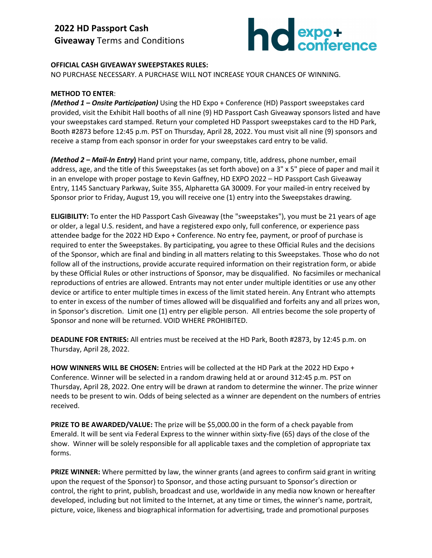

## **OFFICIAL CASH GIVEAWAY SWEEPSTAKES RULES:**

NO PURCHASE NECESSARY. A PURCHASE WILL NOT INCREASE YOUR CHANCES OF WINNING.

## **METHOD TO ENTER**:

*(Method 1 – Onsite Participation)* Using the HD Expo + Conference (HD) Passport sweepstakes card provided, visit the Exhibit Hall booths of all nine (9) HD Passport Cash Giveaway sponsors listed and have your sweepstakes card stamped. Return your completed HD Passport sweepstakes card to the HD Park, Booth #2873 before 12:45 p.m. PST on Thursday, April 28, 2022. You must visit all nine (9) sponsors and receive a stamp from each sponsor in order for your sweepstakes card entry to be valid.

*(Method 2 – Mail-In Entry***)** Hand print your name, company, title, address, phone number, email address, age, and the title of this Sweepstakes (as set forth above) on a 3" x 5" piece of paper and mail it in an envelope with proper postage to Kevin Gaffney, HD EXPO 2022 – HD Passport Cash Giveaway Entry, 1145 Sanctuary Parkway, Suite 355, Alpharetta GA 30009. For your mailed-in entry received by Sponsor prior to Friday, August 19, you will receive one (1) entry into the Sweepstakes drawing.

**ELIGIBILITY:** To enter the HD Passport Cash Giveaway (the "sweepstakes"), you must be 21 years of age or older, a legal U.S. resident, and have a registered expo only, full conference, or experience pass attendee badge for the 2022 HD Expo + Conference. No entry fee, payment, or proof of purchase is required to enter the Sweepstakes. By participating, you agree to these Official Rules and the decisions of the Sponsor, which are final and binding in all matters relating to this Sweepstakes. Those who do not follow all of the instructions, provide accurate required information on their registration form, or abide by these Official Rules or other instructions of Sponsor, may be disqualified. No facsimiles or mechanical reproductions of entries are allowed. Entrants may not enter under multiple identities or use any other device or artifice to enter multiple times in excess of the limit stated herein. Any Entrant who attempts to enter in excess of the number of times allowed will be disqualified and forfeits any and all prizes won, in Sponsor's discretion. Limit one (1) entry per eligible person. All entries become the sole property of Sponsor and none will be returned. VOID WHERE PROHIBITED.

**DEADLINE FOR ENTRIES:** All entries must be received at the HD Park, Booth #2873, by 12:45 p.m. on Thursday, April 28, 2022.

**HOW WINNERS WILL BE CHOSEN:** Entries will be collected at the HD Park at the 2022 HD Expo + Conference. Winner will be selected in a random drawing held at or around 312:45 p.m. PST on Thursday, April 28, 2022. One entry will be drawn at random to determine the winner. The prize winner needs to be present to win. Odds of being selected as a winner are dependent on the numbers of entries received.

**PRIZE TO BE AWARDED/VALUE:** The prize will be \$5,000.00 in the form of a check payable from Emerald. It will be sent via Federal Express to the winner within sixty-five (65) days of the close of the show. Winner will be solely responsible for all applicable taxes and the completion of appropriate tax forms.

**PRIZE WINNER:** Where permitted by law, the winner grants (and agrees to confirm said grant in writing upon the request of the Sponsor) to Sponsor, and those acting pursuant to Sponsor's direction or control, the right to print, publish, broadcast and use, worldwide in any media now known or hereafter developed, including but not limited to the Internet, at any time or times, the winner's name, portrait, picture, voice, likeness and biographical information for advertising, trade and promotional purposes